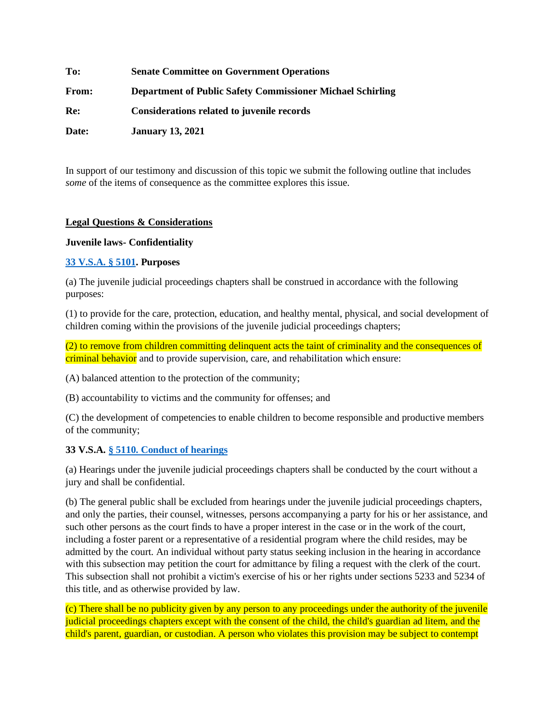| To:   | <b>Senate Committee on Government Operations</b>                  |
|-------|-------------------------------------------------------------------|
| From: | <b>Department of Public Safety Commissioner Michael Schirling</b> |
| Re:   | Considerations related to juvenile records                        |
| Date: | <b>January 13, 2021</b>                                           |

In support of our testimony and discussion of this topic we submit the following outline that includes *some* of the items of consequence as the committee explores this issue.

## **Legal Questions & Considerations**

#### **Juvenile laws- Confidentiality**

#### **[33 V.S.A. § 5101.](https://legislature.vermont.gov/statutes/section/33/051/05101) Purposes**

(a) The juvenile judicial proceedings chapters shall be construed in accordance with the following purposes:

(1) to provide for the care, protection, education, and healthy mental, physical, and social development of children coming within the provisions of the juvenile judicial proceedings chapters;

(2) to remove from children committing delinquent acts the taint of criminality and the consequences of criminal behavior and to provide supervision, care, and rehabilitation which ensure:

(A) balanced attention to the protection of the community;

(B) accountability to victims and the community for offenses; and

(C) the development of competencies to enable children to become responsible and productive members of the community;

## **33 V.S.A. [§ 5110. Conduct of hearings](https://legislature.vermont.gov/statutes/section/33/051/05110)**

(a) Hearings under the juvenile judicial proceedings chapters shall be conducted by the court without a jury and shall be confidential.

(b) The general public shall be excluded from hearings under the juvenile judicial proceedings chapters, and only the parties, their counsel, witnesses, persons accompanying a party for his or her assistance, and such other persons as the court finds to have a proper interest in the case or in the work of the court, including a foster parent or a representative of a residential program where the child resides, may be admitted by the court. An individual without party status seeking inclusion in the hearing in accordance with this subsection may petition the court for admittance by filing a request with the clerk of the court. This subsection shall not prohibit a victim's exercise of his or her rights under sections 5233 and 5234 of this title, and as otherwise provided by law.

(c) There shall be no publicity given by any person to any proceedings under the authority of the juvenile judicial proceedings chapters except with the consent of the child, the child's guardian ad litem, and the child's parent, guardian, or custodian. A person who violates this provision may be subject to contempt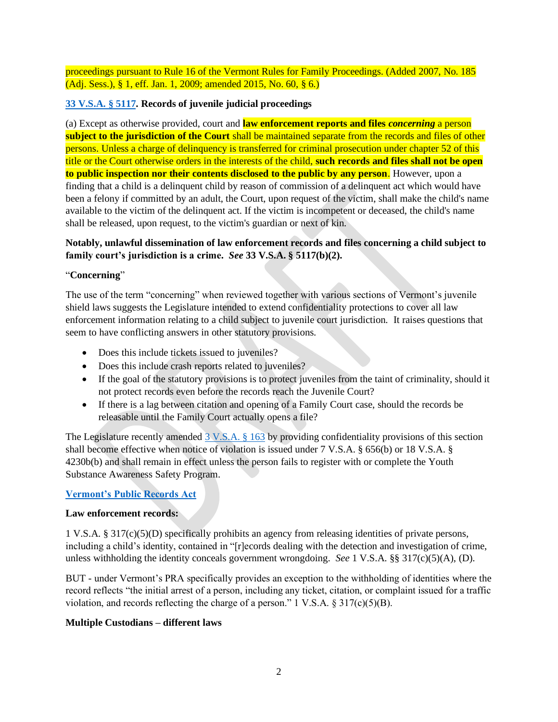proceedings pursuant to Rule 16 of the Vermont Rules for Family Proceedings. (Added 2007, No. 185 (Adj. Sess.), § 1, eff. Jan. 1, 2009; amended 2015, No. 60, § 6.)

# **[33 V.S.A. § 5117.](https://legislature.vermont.gov/statutes/section/33/051/05117) Records of juvenile judicial proceedings**

(a) Except as otherwise provided, court and **law enforcement reports and files** *concerning* a person **subject to the jurisdiction of the Court** shall be maintained separate from the records and files of other persons. Unless a charge of delinquency is transferred for criminal prosecution under chapter 52 of this title or the Court otherwise orders in the interests of the child, **such records and files shall not be open to public inspection nor their contents disclosed to the public by any person**. However, upon a finding that a child is a delinquent child by reason of commission of a delinquent act which would have been a felony if committed by an adult, the Court, upon request of the victim, shall make the child's name available to the victim of the delinquent act. If the victim is incompetent or deceased, the child's name shall be released, upon request, to the victim's guardian or next of kin.

# **Notably, unlawful dissemination of law enforcement records and files concerning a child subject to family court's jurisdiction is a crime.** *See* **33 V.S.A. § 5117(b)(2).**

## "**Concerning**"

The use of the term "concerning" when reviewed together with various sections of Vermont's juvenile shield laws suggests the Legislature intended to extend confidentiality protections to cover all law enforcement information relating to a child subject to juvenile court jurisdiction. It raises questions that seem to have conflicting answers in other statutory provisions.

- Does this include tickets issued to juveniles?
- Does this include crash reports related to juveniles?
- If the goal of the statutory provisions is to protect juveniles from the taint of criminality, should it not protect records even before the records reach the Juvenile Court?
- If there is a lag between citation and opening of a Family Court case, should the records be releasable until the Family Court actually opens a file?

The Legislature recently amended [3 V.S.A. § 163](https://legislature.vermont.gov/statutes/section/03/007/00163) by providing confidentiality provisions of this section shall become effective when notice of violation is issued under 7 V.S.A. § 656(b) or 18 V.S.A. § 4230b(b) and shall remain in effect unless the person fails to register with or complete the Youth Substance Awareness Safety Program.

## **[Vermont's Public Records Act](https://legislature.vermont.gov/statutes/section/01/005/00317)**

## **Law enforcement records:**

1 V.S.A. § 317(c)(5)(D) specifically prohibits an agency from releasing identities of private persons, including a child's identity, contained in "[r]ecords dealing with the detection and investigation of crime, unless withholding the identity conceals government wrongdoing. *See* 1 V.S.A. §§ 317(c)(5)(A), (D).

BUT - under Vermont's PRA specifically provides an exception to the withholding of identities where the record reflects "the initial arrest of a person, including any ticket, citation, or complaint issued for a traffic violation, and records reflecting the charge of a person." 1 V.S.A.  $\S 317(c)(5)(B)$ .

## **Multiple Custodians – different laws**